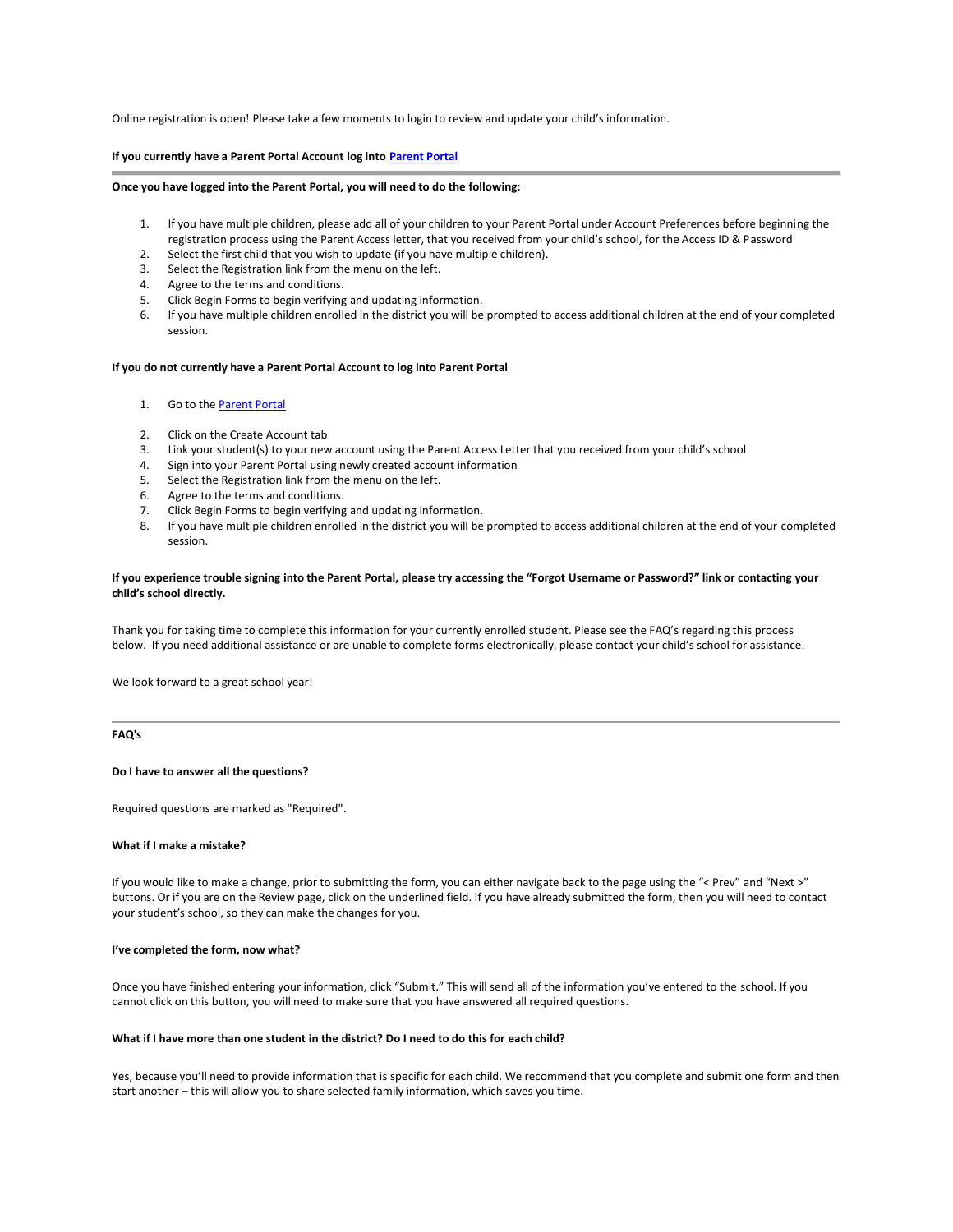Online registration is open! Please take a few moments to login to review and update your child's information.

# **If you currently have a Parent Portal Account log int[o Parent Portal](https://powerschool.nkcschools.org/public/home.html))**

#### **Once you have logged into the Parent Portal, you will need to do the following:**

- 1. If you have multiple children, please add all of your children to your Parent Portal under Account Preferences before beginning the registration process using the Parent Access letter, that you received from your child's school, for the Access ID & Password
- 2. Select the first child that you wish to update (if you have multiple children).
- 3. Select the Registration link from the menu on the left.
- 4. Agree to the terms and conditions.
- 5. Click Begin Forms to begin verifying and updating information.
- 6. If you have multiple children enrolled in the district you will be prompted to access additional children at the end of your completed session.

#### **If you do not currently have a Parent Portal Account to log into Parent Portal**

- 1. Go to th[e Parent Portal](https://powerschool.nkcschools.org/public/home.html)
- 2. Click on the Create Account tab
- 3. Link your student(s) to your new account using the Parent Access Letter that you received from your child's school
- 4. Sign into your Parent Portal using newly created account information
- 5. Select the Registration link from the menu on the left.
- 6. Agree to the terms and conditions.
- 7. Click Begin Forms to begin verifying and updating information.
- 8. If you have multiple children enrolled in the district you will be prompted to access additional children at the end of your completed session.

### **If you experience trouble signing into the Parent Portal, please try accessing the "Forgot Username or Password?" link or contacting your child's school directly.**

Thank you for taking time to complete this information for your currently enrolled student. Please see the FAQ's regarding this process below. If you need additional assistance or are unable to complete forms electronically, please contact your child's school for assistance.

We look forward to a great school year!

# **FAQ's**

### **Do I have to answer all the questions?**

Required questions are marked as "Required".

### **What if I make a mistake?**

If you would like to make a change, prior to submitting the form, you can either navigate back to the page using the "< Prev" and "Next >" buttons. Or if you are on the Review page, click on the underlined field. If you have already submitted the form, then you will need to contact your student's school, so they can make the changes for you.

#### **I've completed the form, now what?**

Once you have finished entering your information, click "Submit." This will send all of the information you've entered to the school. If you cannot click on this button, you will need to make sure that you have answered all required questions.

### **What if I have more than one student in the district? Do I need to do this for each child?**

Yes, because you'll need to provide information that is specific for each child. We recommend that you complete and submit one form and then start another – this will allow you to share selected family information, which saves you time.